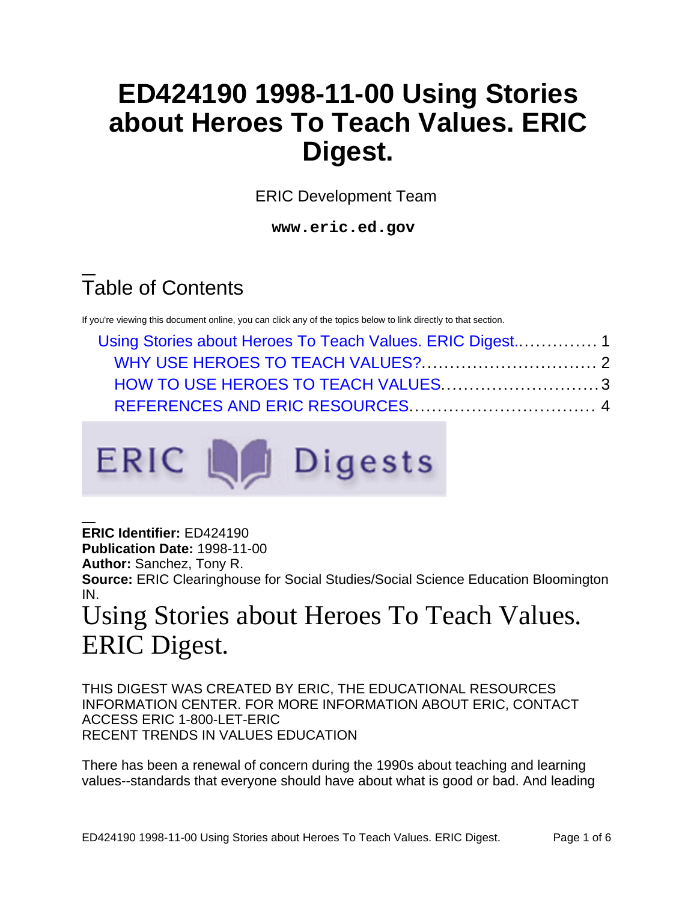## **ED424190 1998-11-00 Using Stories about Heroes To Teach Values. ERIC Digest.**

ERIC Development Team

**www.eric.ed.gov**

# Table of Contents

If you're viewing this document online, you can click any of the topics below to link directly to that section.

| HOW TO USE HEROES TO TEACH VALUES3 |  |  |
|------------------------------------|--|--|
|                                    |  |  |



**ERIC Identifier:** ED424190

**Publication Date:** 1998-11-00

**Author:** Sanchez, Tony R.

**Source:** ERIC Clearinghouse for Social Studies/Social Science Education Bloomington IN.

## <span id="page-0-0"></span>Using Stories about Heroes To Teach Values. ERIC Digest.

THIS DIGEST WAS CREATED BY ERIC, THE EDUCATIONAL RESOURCES INFORMATION CENTER. FOR MORE INFORMATION ABOUT ERIC, CONTACT ACCESS ERIC 1-800-LET-ERIC RECENT TRENDS IN VALUES EDUCATION

There has been a renewal of concern during the 1990s about teaching and learning values--standards that everyone should have about what is good or bad. And leading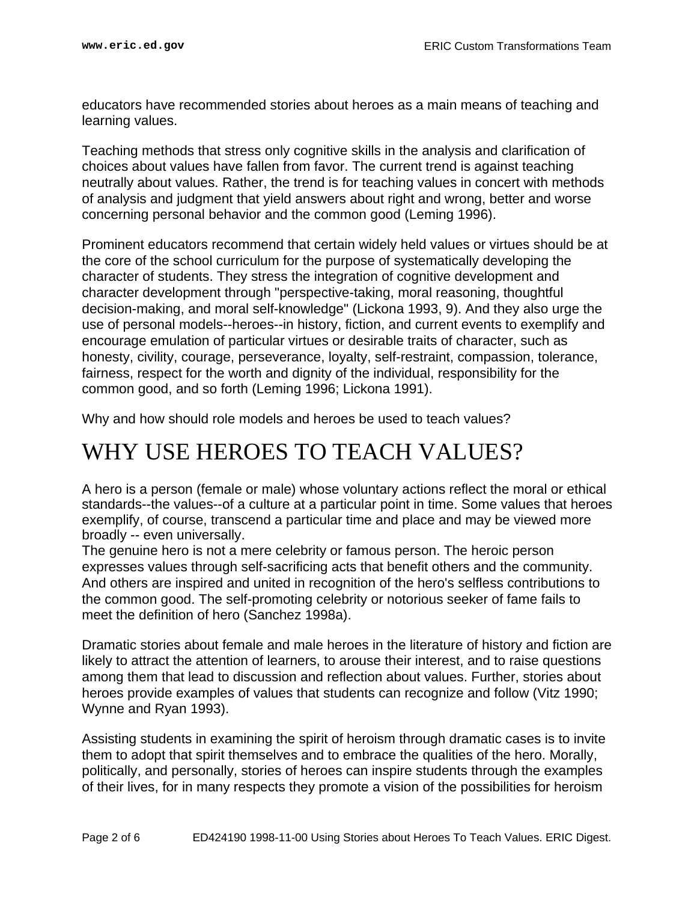educators have recommended stories about heroes as a main means of teaching and learning values.

Teaching methods that stress only cognitive skills in the analysis and clarification of choices about values have fallen from favor. The current trend is against teaching neutrally about values. Rather, the trend is for teaching values in concert with methods of analysis and judgment that yield answers about right and wrong, better and worse concerning personal behavior and the common good (Leming 1996).

Prominent educators recommend that certain widely held values or virtues should be at the core of the school curriculum for the purpose of systematically developing the character of students. They stress the integration of cognitive development and character development through "perspective-taking, moral reasoning, thoughtful decision-making, and moral self-knowledge" (Lickona 1993, 9). And they also urge the use of personal models--heroes--in history, fiction, and current events to exemplify and encourage emulation of particular virtues or desirable traits of character, such as honesty, civility, courage, perseverance, loyalty, self-restraint, compassion, tolerance, fairness, respect for the worth and dignity of the individual, responsibility for the common good, and so forth (Leming 1996; Lickona 1991).

Why and how should role models and heroes be used to teach values?

### <span id="page-1-0"></span>WHY USE HEROES TO TEACH VALUES?

A hero is a person (female or male) whose voluntary actions reflect the moral or ethical standards--the values--of a culture at a particular point in time. Some values that heroes exemplify, of course, transcend a particular time and place and may be viewed more broadly -- even universally.

The genuine hero is not a mere celebrity or famous person. The heroic person expresses values through self-sacrificing acts that benefit others and the community. And others are inspired and united in recognition of the hero's selfless contributions to the common good. The self-promoting celebrity or notorious seeker of fame fails to meet the definition of hero (Sanchez 1998a).

Dramatic stories about female and male heroes in the literature of history and fiction are likely to attract the attention of learners, to arouse their interest, and to raise questions among them that lead to discussion and reflection about values. Further, stories about heroes provide examples of values that students can recognize and follow (Vitz 1990; Wynne and Ryan 1993).

Assisting students in examining the spirit of heroism through dramatic cases is to invite them to adopt that spirit themselves and to embrace the qualities of the hero. Morally, politically, and personally, stories of heroes can inspire students through the examples of their lives, for in many respects they promote a vision of the possibilities for heroism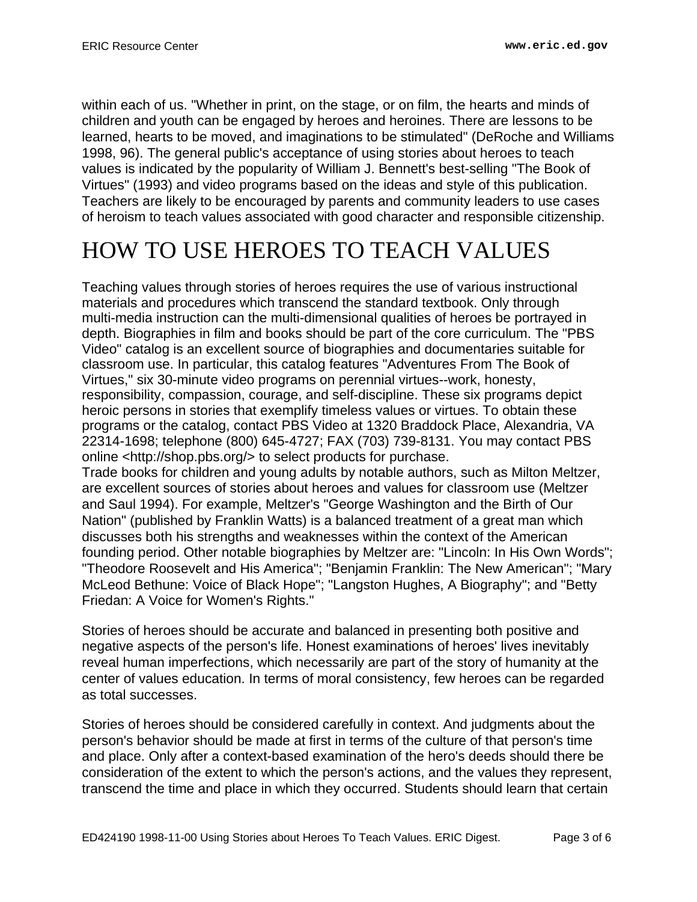within each of us. "Whether in print, on the stage, or on film, the hearts and minds of children and youth can be engaged by heroes and heroines. There are lessons to be learned, hearts to be moved, and imaginations to be stimulated" (DeRoche and Williams 1998, 96). The general public's acceptance of using stories about heroes to teach values is indicated by the popularity of William J. Bennett's best-selling "The Book of Virtues" (1993) and video programs based on the ideas and style of this publication. Teachers are likely to be encouraged by parents and community leaders to use cases of heroism to teach values associated with good character and responsible citizenship.

## <span id="page-2-0"></span>HOW TO USE HEROES TO TEACH VALUES

Teaching values through stories of heroes requires the use of various instructional materials and procedures which transcend the standard textbook. Only through multi-media instruction can the multi-dimensional qualities of heroes be portrayed in depth. Biographies in film and books should be part of the core curriculum. The "PBS Video" catalog is an excellent source of biographies and documentaries suitable for classroom use. In particular, this catalog features "Adventures From The Book of Virtues," six 30-minute video programs on perennial virtues--work, honesty, responsibility, compassion, courage, and self-discipline. These six programs depict heroic persons in stories that exemplify timeless values or virtues. To obtain these programs or the catalog, contact PBS Video at 1320 Braddock Place, Alexandria, VA 22314-1698; telephone (800) 645-4727; FAX (703) 739-8131. You may contact PBS online <http://shop.pbs.org/> to select products for purchase.

Trade books for children and young adults by notable authors, such as Milton Meltzer, are excellent sources of stories about heroes and values for classroom use (Meltzer and Saul 1994). For example, Meltzer's "George Washington and the Birth of Our Nation" (published by Franklin Watts) is a balanced treatment of a great man which discusses both his strengths and weaknesses within the context of the American founding period. Other notable biographies by Meltzer are: "Lincoln: In His Own Words"; "Theodore Roosevelt and His America"; "Benjamin Franklin: The New American"; "Mary McLeod Bethune: Voice of Black Hope"; "Langston Hughes, A Biography"; and "Betty Friedan: A Voice for Women's Rights."

Stories of heroes should be accurate and balanced in presenting both positive and negative aspects of the person's life. Honest examinations of heroes' lives inevitably reveal human imperfections, which necessarily are part of the story of humanity at the center of values education. In terms of moral consistency, few heroes can be regarded as total successes.

Stories of heroes should be considered carefully in context. And judgments about the person's behavior should be made at first in terms of the culture of that person's time and place. Only after a context-based examination of the hero's deeds should there be consideration of the extent to which the person's actions, and the values they represent, transcend the time and place in which they occurred. Students should learn that certain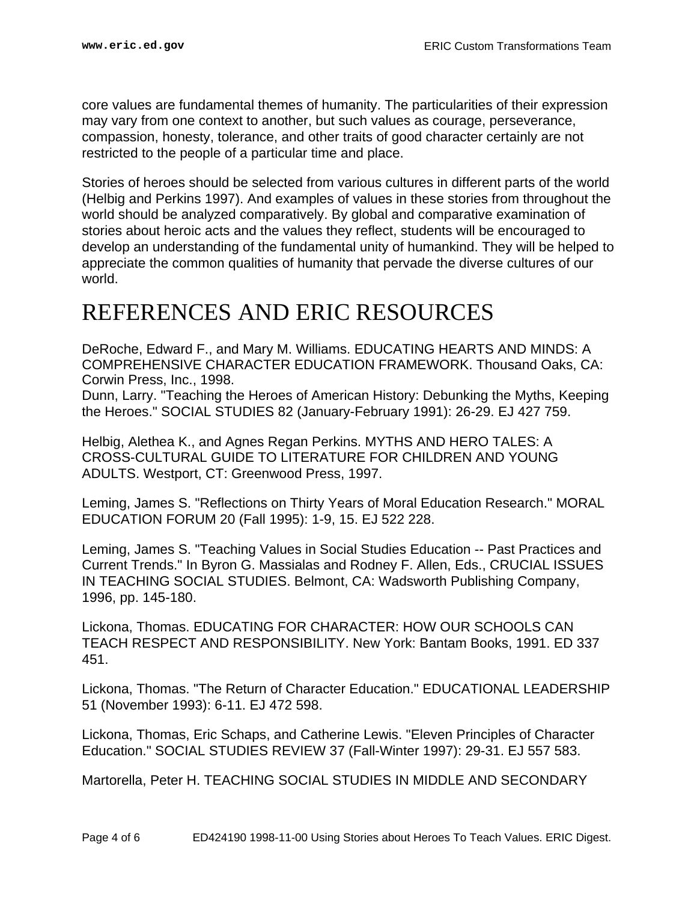core values are fundamental themes of humanity. The particularities of their expression may vary from one context to another, but such values as courage, perseverance, compassion, honesty, tolerance, and other traits of good character certainly are not restricted to the people of a particular time and place.

Stories of heroes should be selected from various cultures in different parts of the world (Helbig and Perkins 1997). And examples of values in these stories from throughout the world should be analyzed comparatively. By global and comparative examination of stories about heroic acts and the values they reflect, students will be encouraged to develop an understanding of the fundamental unity of humankind. They will be helped to appreciate the common qualities of humanity that pervade the diverse cultures of our world.

#### <span id="page-3-0"></span>REFERENCES AND ERIC RESOURCES

DeRoche, Edward F., and Mary M. Williams. EDUCATING HEARTS AND MINDS: A COMPREHENSIVE CHARACTER EDUCATION FRAMEWORK. Thousand Oaks, CA: Corwin Press, Inc., 1998.

Dunn, Larry. "Teaching the Heroes of American History: Debunking the Myths, Keeping the Heroes." SOCIAL STUDIES 82 (January-February 1991): 26-29. EJ 427 759.

Helbig, Alethea K., and Agnes Regan Perkins. MYTHS AND HERO TALES: A CROSS-CULTURAL GUIDE TO LITERATURE FOR CHILDREN AND YOUNG ADULTS. Westport, CT: Greenwood Press, 1997.

Leming, James S. "Reflections on Thirty Years of Moral Education Research." MORAL EDUCATION FORUM 20 (Fall 1995): 1-9, 15. EJ 522 228.

Leming, James S. "Teaching Values in Social Studies Education -- Past Practices and Current Trends." In Byron G. Massialas and Rodney F. Allen, Eds., CRUCIAL ISSUES IN TEACHING SOCIAL STUDIES. Belmont, CA: Wadsworth Publishing Company, 1996, pp. 145-180.

Lickona, Thomas. EDUCATING FOR CHARACTER: HOW OUR SCHOOLS CAN TEACH RESPECT AND RESPONSIBILITY. New York: Bantam Books, 1991. ED 337 451.

Lickona, Thomas. "The Return of Character Education." EDUCATIONAL LEADERSHIP 51 (November 1993): 6-11. EJ 472 598.

Lickona, Thomas, Eric Schaps, and Catherine Lewis. "Eleven Principles of Character Education." SOCIAL STUDIES REVIEW 37 (Fall-Winter 1997): 29-31. EJ 557 583.

Martorella, Peter H. TEACHING SOCIAL STUDIES IN MIDDLE AND SECONDARY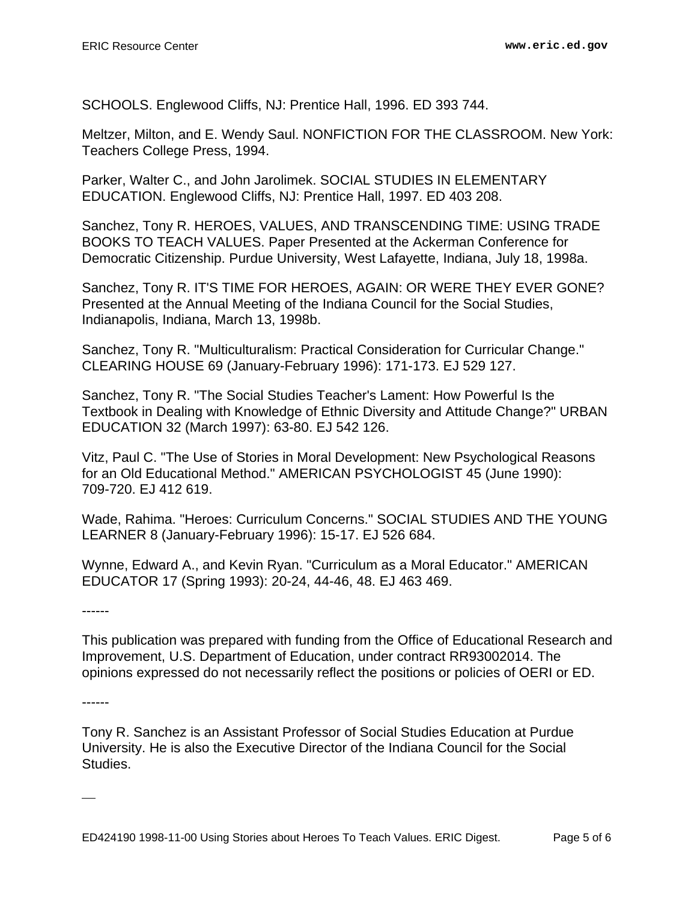SCHOOLS. Englewood Cliffs, NJ: Prentice Hall, 1996. ED 393 744.

Meltzer, Milton, and E. Wendy Saul. NONFICTION FOR THE CLASSROOM. New York: Teachers College Press, 1994.

Parker, Walter C., and John Jarolimek. SOCIAL STUDIES IN ELEMENTARY EDUCATION. Englewood Cliffs, NJ: Prentice Hall, 1997. ED 403 208.

Sanchez, Tony R. HEROES, VALUES, AND TRANSCENDING TIME: USING TRADE BOOKS TO TEACH VALUES. Paper Presented at the Ackerman Conference for Democratic Citizenship. Purdue University, West Lafayette, Indiana, July 18, 1998a.

Sanchez, Tony R. IT'S TIME FOR HEROES, AGAIN: OR WERE THEY EVER GONE? Presented at the Annual Meeting of the Indiana Council for the Social Studies, Indianapolis, Indiana, March 13, 1998b.

Sanchez, Tony R. "Multiculturalism: Practical Consideration for Curricular Change." CLEARING HOUSE 69 (January-February 1996): 171-173. EJ 529 127.

Sanchez, Tony R. "The Social Studies Teacher's Lament: How Powerful Is the Textbook in Dealing with Knowledge of Ethnic Diversity and Attitude Change?" URBAN EDUCATION 32 (March 1997): 63-80. EJ 542 126.

Vitz, Paul C. "The Use of Stories in Moral Development: New Psychological Reasons for an Old Educational Method." AMERICAN PSYCHOLOGIST 45 (June 1990): 709-720. EJ 412 619.

Wade, Rahima. "Heroes: Curriculum Concerns." SOCIAL STUDIES AND THE YOUNG LEARNER 8 (January-February 1996): 15-17. EJ 526 684.

Wynne, Edward A., and Kevin Ryan. "Curriculum as a Moral Educator." AMERICAN EDUCATOR 17 (Spring 1993): 20-24, 44-46, 48. EJ 463 469.

------

This publication was prepared with funding from the Office of Educational Research and Improvement, U.S. Department of Education, under contract RR93002014. The opinions expressed do not necessarily reflect the positions or policies of OERI or ED.

------

Tony R. Sanchez is an Assistant Professor of Social Studies Education at Purdue University. He is also the Executive Director of the Indiana Council for the Social Studies.